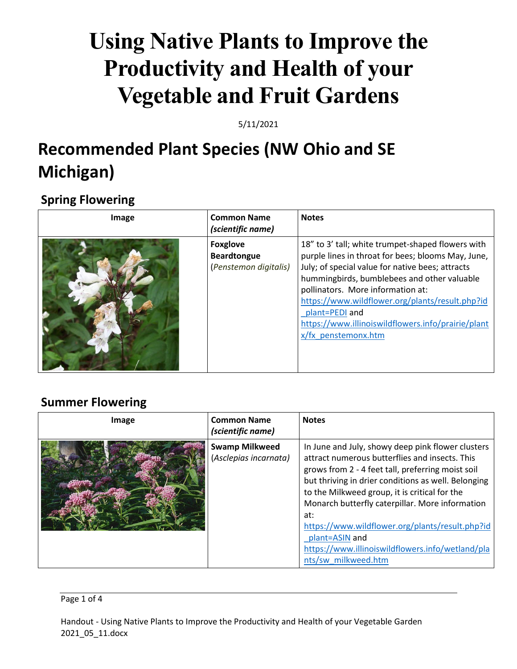# **Using Native Plants to Improve the Productivity and Health of your Vegetable and Fruit Gardens**

5/11/2021

## **Recommended Plant Species (NW Ohio and SE Michigan)**

### **Spring Flowering**

| Image | <b>Common Name</b><br>(scientific name)                        | <b>Notes</b>                                                                                                                                                                                                                                                                                                                                                                                      |
|-------|----------------------------------------------------------------|---------------------------------------------------------------------------------------------------------------------------------------------------------------------------------------------------------------------------------------------------------------------------------------------------------------------------------------------------------------------------------------------------|
|       | <b>Foxglove</b><br><b>Beardtongue</b><br>(Penstemon digitalis) | 18" to 3' tall; white trumpet-shaped flowers with<br>purple lines in throat for bees; blooms May, June,<br>July; of special value for native bees; attracts<br>hummingbirds, bumblebees and other valuable<br>pollinators. More information at:<br>https://www.wildflower.org/plants/result.php?id<br>plant=PEDI and<br>https://www.illinoiswildflowers.info/prairie/plant<br>x/fx penstemonx.htm |

### **Summer Flowering**

| Image | <b>Common Name</b><br>(scientific name)        | <b>Notes</b>                                                                                                                                                                                                                                                                                                                                                                                                                                                               |
|-------|------------------------------------------------|----------------------------------------------------------------------------------------------------------------------------------------------------------------------------------------------------------------------------------------------------------------------------------------------------------------------------------------------------------------------------------------------------------------------------------------------------------------------------|
|       | <b>Swamp Milkweed</b><br>(Asclepias incarnata) | In June and July, showy deep pink flower clusters<br>attract numerous butterflies and insects. This<br>grows from 2 - 4 feet tall, preferring moist soil<br>but thriving in drier conditions as well. Belonging<br>to the Milkweed group, it is critical for the<br>Monarch butterfly caterpillar. More information<br>at:<br>https://www.wildflower.org/plants/result.php?id<br>plant=ASIN and<br>https://www.illinoiswildflowers.info/wetland/pla<br>nts/sw milkweed.htm |

### Page 1 of 4

Handout - Using Native Plants to Improve the Productivity and Health of your Vegetable Garden 2021\_05\_11.docx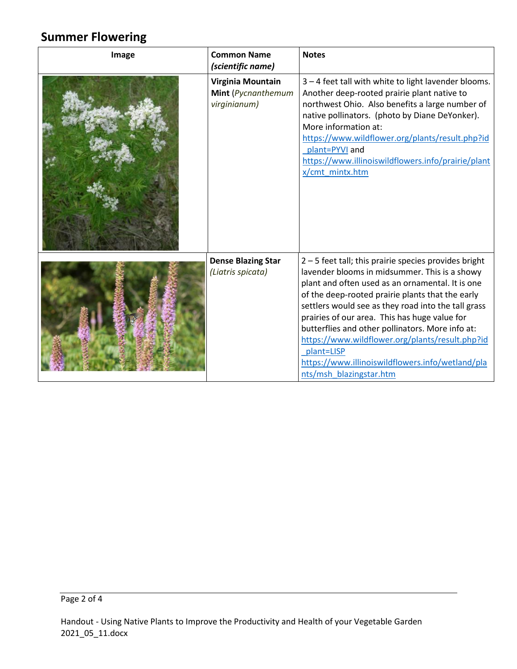### **Summer Flowering**

| Image | <b>Common Name</b><br>(scientific name)                 | <b>Notes</b>                                                                                                                                                                                                                                                                                                                                                                                                                                                                                                             |
|-------|---------------------------------------------------------|--------------------------------------------------------------------------------------------------------------------------------------------------------------------------------------------------------------------------------------------------------------------------------------------------------------------------------------------------------------------------------------------------------------------------------------------------------------------------------------------------------------------------|
|       | Virginia Mountain<br>Mint (Pycnanthemum<br>virginianum) | 3 - 4 feet tall with white to light lavender blooms.<br>Another deep-rooted prairie plant native to<br>northwest Ohio. Also benefits a large number of<br>native pollinators. (photo by Diane DeYonker).<br>More information at:<br>https://www.wildflower.org/plants/result.php?id<br>plant=PYVI and<br>https://www.illinoiswildflowers.info/prairie/plant<br>x/cmt mintx.htm                                                                                                                                           |
|       | <b>Dense Blazing Star</b><br>(Liatris spicata)          | 2-5 feet tall; this prairie species provides bright<br>lavender blooms in midsummer. This is a showy<br>plant and often used as an ornamental. It is one<br>of the deep-rooted prairie plants that the early<br>settlers would see as they road into the tall grass<br>prairies of our area. This has huge value for<br>butterflies and other pollinators. More info at:<br>https://www.wildflower.org/plants/result.php?id<br>plant=LISP<br>https://www.illinoiswildflowers.info/wetland/pla<br>nts/msh blazingstar.htm |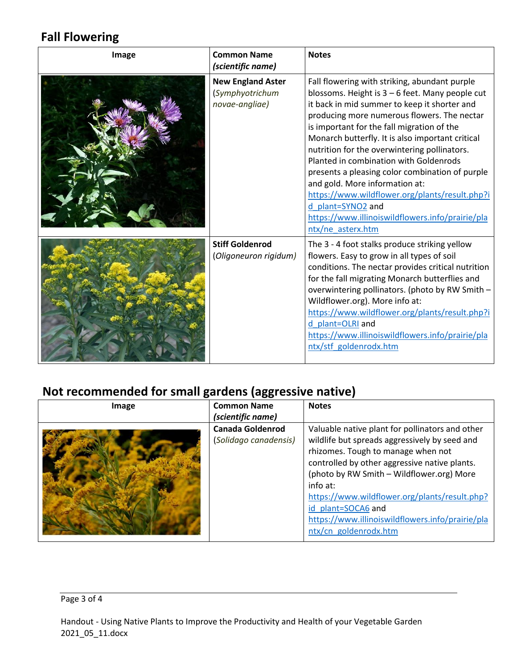### **Fall Flowering**

| Image | <b>Common Name</b><br>(scientific name)                       | <b>Notes</b>                                                                                                                                                                                                                                                                                                                                                                                                                                                                                                                                                                                                                     |
|-------|---------------------------------------------------------------|----------------------------------------------------------------------------------------------------------------------------------------------------------------------------------------------------------------------------------------------------------------------------------------------------------------------------------------------------------------------------------------------------------------------------------------------------------------------------------------------------------------------------------------------------------------------------------------------------------------------------------|
|       | <b>New England Aster</b><br>(Symphyotrichum<br>novae-angliae) | Fall flowering with striking, abundant purple<br>blossoms. Height is $3-6$ feet. Many people cut<br>it back in mid summer to keep it shorter and<br>producing more numerous flowers. The nectar<br>is important for the fall migration of the<br>Monarch butterfly. It is also important critical<br>nutrition for the overwintering pollinators.<br>Planted in combination with Goldenrods<br>presents a pleasing color combination of purple<br>and gold. More information at:<br>https://www.wildflower.org/plants/result.php?i<br>d plant=SYNO2 and<br>https://www.illinoiswildflowers.info/prairie/pla<br>ntx/ne asterx.htm |
|       | <b>Stiff Goldenrod</b><br>(Oligoneuron rigidum)               | The 3 - 4 foot stalks produce striking yellow<br>flowers. Easy to grow in all types of soil<br>conditions. The nectar provides critical nutrition<br>for the fall migrating Monarch butterflies and<br>overwintering pollinators. (photo by RW Smith -<br>Wildflower.org). More info at:<br>https://www.wildflower.org/plants/result.php?i<br>d plant=OLRI and<br>https://www.illinoiswildflowers.info/prairie/pla<br>ntx/stf_goldenrodx.htm                                                                                                                                                                                     |

### **Not recommended for small gardens (aggressive native)**

| Image | <b>Common Name</b>                                                    | <b>Notes</b>                                                                                                                                                                                                                                                                                                                                                                                         |
|-------|-----------------------------------------------------------------------|------------------------------------------------------------------------------------------------------------------------------------------------------------------------------------------------------------------------------------------------------------------------------------------------------------------------------------------------------------------------------------------------------|
|       | (scientific name)<br><b>Canada Goldenrod</b><br>(Solidago canadensis) | Valuable native plant for pollinators and other<br>wildlife but spreads aggressively by seed and<br>rhizomes. Tough to manage when not<br>controlled by other aggressive native plants.<br>(photo by RW Smith - Wildflower.org) More<br>info at:<br>https://www.wildflower.org/plants/result.php?<br>id plant=SOCA6 and<br>https://www.illinoiswildflowers.info/prairie/pla<br>ntx/cn_goldenrodx.htm |

#### Page 3 of 4